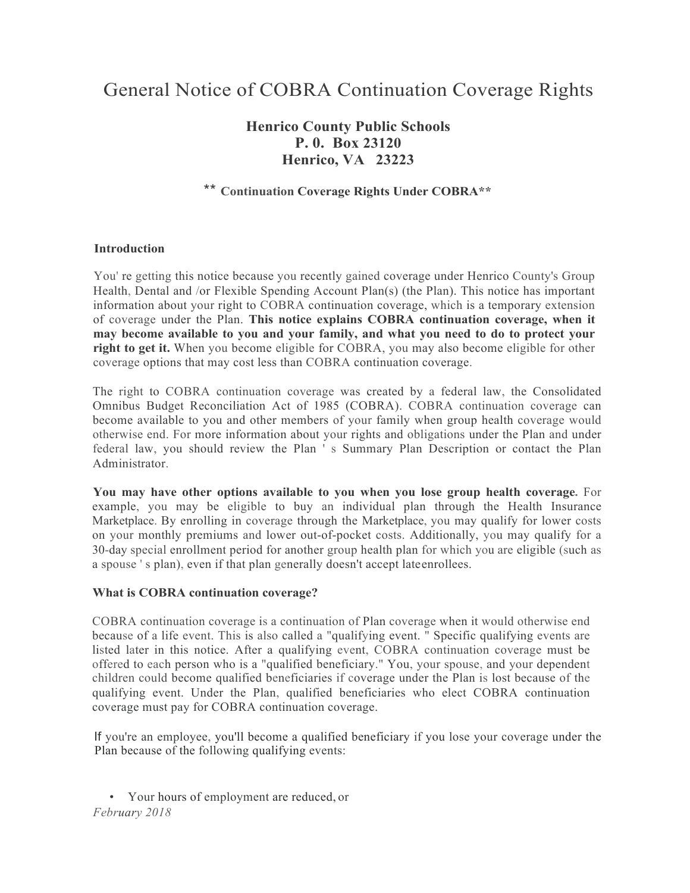# General Notice of COBRA Continuation Coverage Rights

# **Henrico County Public Schools P. 0. Box 23120 Henrico, VA 23223**

## \*\* **Continuation Coverage Rights Under COBRA\*\***

#### **Introduction**

You' re getting this notice because you recently gained coverage under Henrico County's Group Health, Dental and /or Flexible Spending Account Plan(s) (the Plan). This notice has important information about your right to COBRA continuation coverage, which is a temporary extension of coverage under the Plan. **This notice explains COBRA continuation coverage, when it may become available to you and your family, and what you need to do to protect your right to get it.** When you become eligible for COBRA, you may also become eligible for other coverage options that may cost less than COBRA continuation coverage.

The right to COBRA continuation coverage was created by a federal law, the Consolidated Omnibus Budget Reconciliation Act of 1985 (COBRA). COBRA continuation coverage can become available to you and other members of your family when group health coverage would otherwise end. For more information about your rights and obligations under the Plan and under federal law, you should review the Plan ' s Summary Plan Description or contact the Plan Administrator.

**You may have other options available to you when you lose group health coverage.** For example, you may be eligible to buy an individual plan through the Health Insurance Marketplace. By enrolling in coverage through the Marketplace, you may qualify for lower costs on your monthly premiums and lower out-of-pocket costs. Additionally, you may qualify for a 30-day special enrollment period for another group health plan for which you are eligible (such as a spouse ' s plan), even if that plan generally doesn't accept lateenrollees.

#### **What is COBRA continuation coverage?**

COBRA continuation coverage is a continuation of Plan coverage when it would otherwise end because of a life event. This is also called a "qualifying event. " Specific qualifying events are listed later in this notice. After a qualifying event, COBRA continuation coverage must be offered to each person who is a "qualified beneficiary." You, your spouse, and your dependent children could become qualified beneficiaries if coverage under the Plan is lost because of the qualifying event. Under the Plan, qualified beneficiaries who elect COBRA continuation coverage must pay for COBRA continuation coverage.

If you're an employee, you'll become a qualified beneficiary if you lose your coverage under the Plan because of the following qualifying events:

*February 2018* • Your hours of employment are reduced, or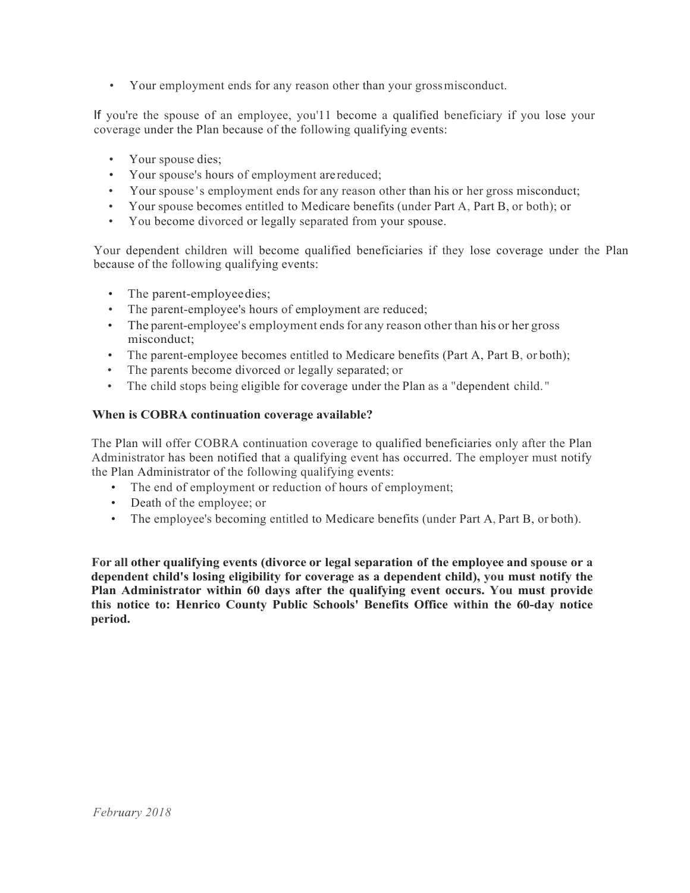• Your employment ends for any reason other than your grossmisconduct.

If you're the spouse of an employee, you'11 become a qualified beneficiary if you lose your coverage under the Plan because of the following qualifying events:

- Your spouse dies;
- Your spouse's hours of employment are reduced;
- Your spouse 's employment ends for any reason other than his or her gross misconduct;
- Your spouse becomes entitled to Medicare benefits (under Part A, Part B, or both); or
- You become divorced or legally separated from your spouse.

Your dependent children will become qualified beneficiaries if they lose coverage under the Plan because of the following qualifying events:

- The parent-employee dies;
- The parent-employee's hours of employment are reduced;
- The parent-employee's employment ends for any reason other than his or her gross misconduct;
- The parent-employee becomes entitled to Medicare benefits (Part A, Part B, or both);
- The parents become divorced or legally separated; or
- The child stops being eligible for coverage under the Plan as a "dependent child. "

## **When is COBRA continuation coverage available?**

The Plan will offer COBRA continuation coverage to qualified beneficiaries only after the Plan Administrator has been notified that a qualifying event has occurred. The employer must notify the Plan Administrator of the following qualifying events:

- The end of employment or reduction of hours of employment;
- Death of the employee; or
- The employee's becoming entitled to Medicare benefits (under Part A, Part B, or both).

**For all other qualifying events (divorce or legal separation of the employee and spouse or a dependent child's losing eligibility for coverage as a dependent child), you must notify the Plan Administrator within 60 days after the qualifying event occurs. You must provide this notice to: Henrico County Public Schools' Benefits Office within the 60-day notice period.**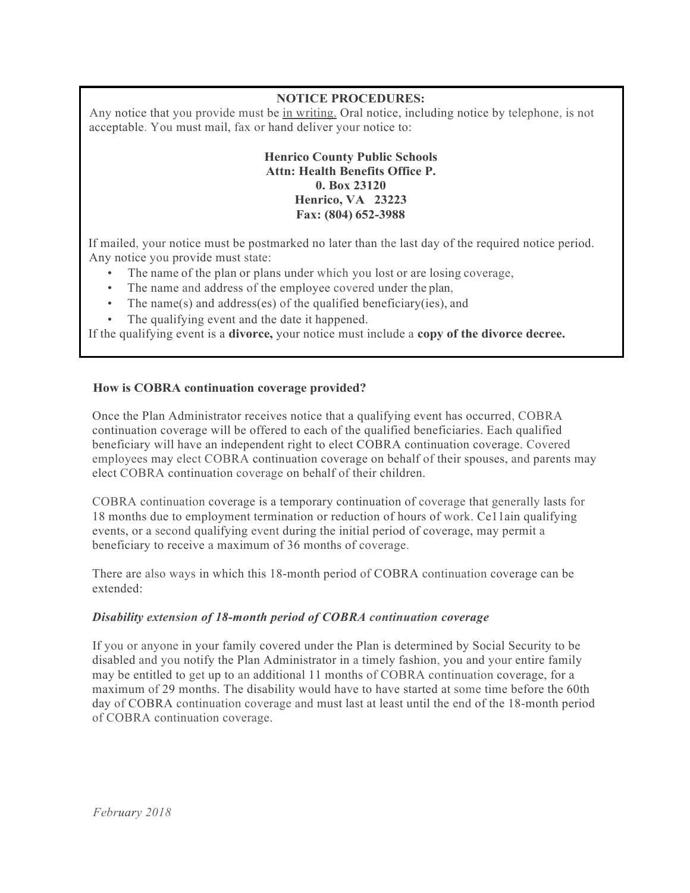## **NOTICE PROCEDURES:**

Any notice that you provide must be in writing. Oral notice, including notice by telephone, is not acceptable. You must mail, fax or hand deliver your notice to:

## **Henrico County Public Schools Attn: Health Benefits Office P. 0. Box 23120 Henrico, VA 23223 Fax: (804) 652-3988**

If mailed, your notice must be postmarked no later than the last day of the required notice period. Any notice you provide must state:

- The name of the plan or plans under which you lost or are losing coverage,
- The name and address of the employee covered under the plan,
- The name(s) and address(es) of the qualified beneficiary(ies), and
- The qualifying event and the date it happened.

If the qualifying event is a **divorce,** your notice must include a **copy of the divorce decree.**

## **How is COBRA continuation coverage provided?**

Once the Plan Administrator receives notice that a qualifying event has occurred, COBRA continuation coverage will be offered to each of the qualified beneficiaries. Each qualified beneficiary will have an independent right to elect COBRA continuation coverage. Covered employees may elect COBRA continuation coverage on behalf of their spouses, and parents may elect COBRA continuation coverage on behalf of their children.

COBRA continuation coverage is a temporary continuation of coverage that generally lasts for 18 months due to employment termination or reduction of hours of work. Ce11ain qualifying events, or a second qualifying event during the initial period of coverage, may permit a beneficiary to receive a maximum of 36 months of coverage.

There are also ways in which this 18-month period of COBRA continuation coverage can be extended:

#### *Disability extension of 18-month period of COBRA continuation coverage*

If you or anyone in your family covered under the Plan is determined by Social Security to be disabled and you notify the Plan Administrator in a timely fashion, you and your entire family may be entitled to get up to an additional 11 months of COBRA continuation coverage, for a maximum of 29 months. The disability would have to have started at some time before the 60th day of COBRA continuation coverage and must last at least until the end of the 18-month period of COBRA continuation coverage.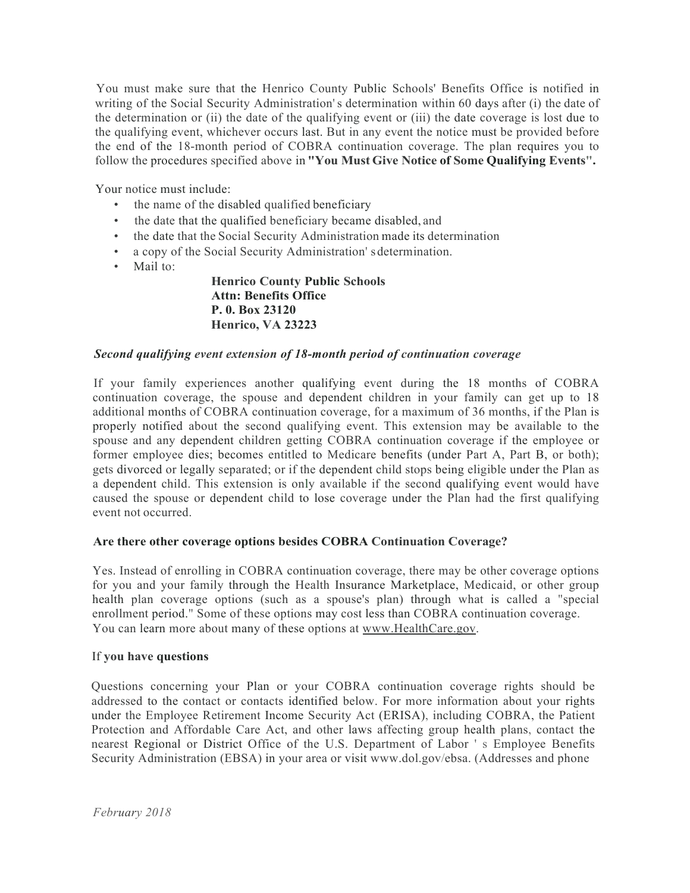You must make sure that the Henrico County Public Schools' Benefits Office is notified in writing of the Social Security Administration's determination within 60 days after (i) the date of the determination or (ii) the date of the qualifying event or (iii) the date coverage is lost due to the qualifying event, whichever occurs last. But in any event the notice must be provided before the end of the 18-month period of COBRA continuation coverage. The plan requires you to follow the procedures specified above in **"You Must Give Notice of Some Qualifying Events".**

Your notice must include:

- the name of the disabled qualified beneficiary
- the date that the qualified beneficiary became disabled, and
- the date that the Social Security Administration made its determination
- a copy of the Social Security Administration's determination.
- Mail to:

**Henrico County Public Schools Attn: Benefits Office P. 0. Box 23120 Henrico, VA 23223**

#### *Second qualifying event extension of 18-month period of continuation coverage*

If your family experiences another qualifying event during the 18 months of COBRA continuation coverage, the spouse and dependent children in your family can get up to 18 additional months of COBRA continuation coverage, for a maximum of 36 months, if the Plan is properly notified about the second qualifying event. This extension may be available to the spouse and any dependent children getting COBRA continuation coverage if the employee or former employee dies; becomes entitled to Medicare benefits (under Part A, Part B, or both); gets divorced or legally separated; or if the dependent child stops being eligible under the Plan as a dependent child. This extension is only available if the second qualifying event would have caused the spouse or dependent child to lose coverage under the Plan had the first qualifying event not occurred.

#### **Are there other coverage options besides COBRA Continuation Coverage?**

Yes. Instead of enrolling in COBRA continuation coverage, there may be other coverage options for you and your family through the Health Insurance Marketplace, Medicaid, or other group health plan coverage options (such as a spouse's plan) through what is called a "special enrollment period." Some of these options may cost less than COBRA continuation coverage. You can learn more about many of these options at www.HealthCare.gov.

#### If **you have questions**

Questions concerning your Plan or your COBRA continuation coverage rights should be addressed to the contact or contacts identified below. For more information about your rights under the Employee Retirement Income Security Act (ERISA), including COBRA, the Patient Protection and Affordable Care Act, and other laws affecting group health plans, contact the nearest Regional or District Office of the U.S. Department of Labor ' s Employee Benefits Security Administration (EBSA) in your area or visit www.dol.gov/ebsa. (Addresses and phone